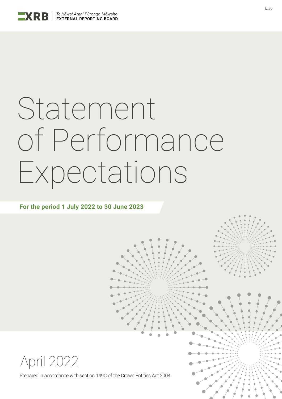

# Statement of Performance Expectations

#### **For the period 1 July 2022 to 30 June 2023**



Prepared in accordance with section 149C of the Crown Entities Act 2004

**(NZ CS 1)**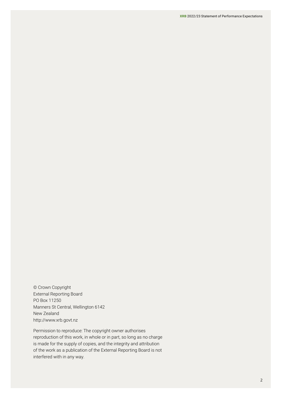© Crown Copyright External Reporting Board PO Box 11250 Manners St Central, Wellington 6142 New Zealand <http://www.xrb.govt.nz>

Permission to reproduce: The copyright owner authorises reproduction of this work, in whole or in part, so long as no charge is made for the supply of copies, and the integrity and attribution of the work as a publication of the External Reporting Board is not interfered with in any way.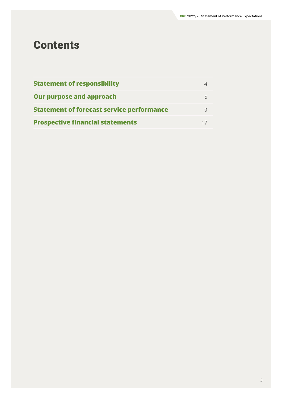# **Contents**

| <b>Statement of responsibility</b>               |    |
|--------------------------------------------------|----|
| <b>Our purpose and approach</b>                  | 5  |
| <b>Statement of forecast service performance</b> |    |
| <b>Prospective financial statements</b>          | 17 |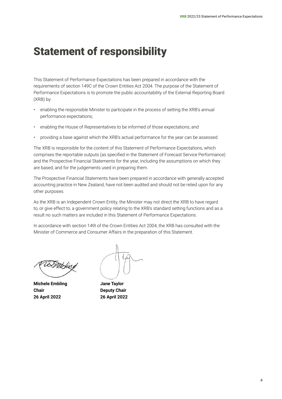# <span id="page-3-0"></span>Statement of responsibility

This Statement of Performance Expectations has been prepared in accordance with the requirements of section 149C of the Crown Entities Act 2004. The purpose of the Statement of Performance Expectations is to promote the public accountability of the External Reporting Board (XRB) by:

- enabling the responsible Minister to participate in the process of setting the XRB's annual performance expectations;
- enabling the House of Representatives to be informed of those expectations; and
- providing a base against which the XRB's actual performance for the year can be assessed.

The XRB is responsible for the content of this Statement of Performance Expectations, which comprises the reportable outputs (as specified in the Statement of Forecast Service Performance) and the Prospective Financial Statements for the year, including the assumptions on which they are based, and for the judgements used in preparing them.

The Prospective Financial Statements have been prepared in accordance with generally accepted accounting practice in New Zealand, have not been audited and should not be relied upon for any other purposes.

As the XRB is an Independent Crown Entity, the Minister may not direct the XRB to have regard to, or give effect to, a government policy relating to the XRB's standard setting functions and as a result no such matters are included in this Statement of Performance Expectations.

In accordance with section 149I of the Crown Entities Act 2004, the XRB has consulted with the Minister of Commerce and Consumer Affairs in the preparation of this Statement.

**Michele Embling Jane Taylor Chair Deputy Chair 26 April 2022 26 April 2022**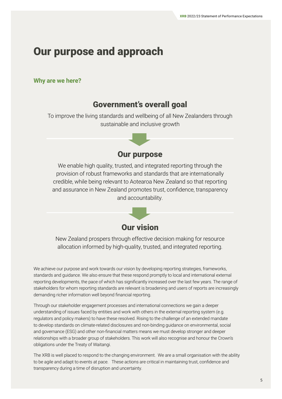# <span id="page-4-0"></span>Our purpose and approach

#### **Why are we here?**

# Government's overall goal

To improve the living standards and wellbeing of all New Zealanders through sustainable and inclusive growth



We enable high quality, trusted, and integrated reporting through the provision of robust frameworks and standards that are internationally credible, while being relevant to Aotearoa New Zealand so that reporting and assurance in New Zealand promotes trust, confidence, transparency and accountability.



New Zealand prospers through effective decision making for resource allocation informed by high-quality, trusted, and integrated reporting.

We achieve our purpose and work towards our vision by developing reporting strategies, frameworks, standards and guidance. We also ensure that these respond promptly to local and international external reporting developments, the pace of which has significantly increased over the last few years. The range of stakeholders for whom reporting standards are relevant is broadening and users of reports are increasingly demanding richer information well beyond financial reporting.

Through our stakeholder engagement processes and international connections we gain a deeper understanding of issues faced by entities and work with others in the external reporting system (e.g. regulators and policy makers) to have these resolved. Rising to the challenge of an extended mandate to develop standards on climate-related disclosures and non-binding guidance on environmental, social and governance (ESG) and other non-financial matters means we must develop stronger and deeper relationships with a broader group of stakeholders. This work will also recognise and honour the Crown's obligations under the Treaty of Waitangi.

The XRB is well placed to respond to the changing environment. We are a small organisation with the ability to be agile and adapt to events at pace. These actions are critical in maintaining trust, confidence and transparency during a time of disruption and uncertainty.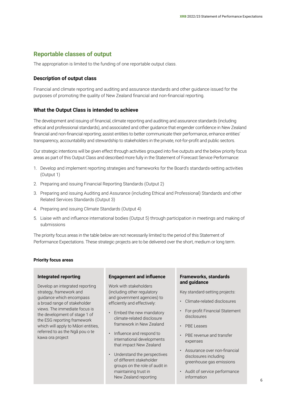#### **Reportable classes of output**

The appropriation is limited to the funding of one reportable output class.

#### **Description of output class**

Financial and climate reporting and auditing and assurance standards and other guidance issued for the purposes of promoting the quality of New Zealand financial and non-financial reporting.

#### **What the Output Class is intended to achieve**

The development and issuing of financial, climate reporting and auditing and assurance standards (including ethical and professional standards), and associated and other guidance that engender confidence in New Zealand financial and non-financial reporting; assist entities to better communicate their performance, enhance entities' transparency, accountability and stewardship to stakeholders in the private, not-for-profit and public sectors.

Our strategic intentions will be given effect through activities grouped into five outputs and the below priority focus areas as part of this Output Class and described more fully in the Statement of Forecast Service Performance:

- 1. Develop and implement reporting strategies and frameworks for the Board's standards-setting activities (Output 1)
- 2. Preparing and issuing Financial Reporting Standards (Output 2)
- 3. Preparing and issuing Auditing and Assurance (including Ethical and Professional) Standards and other Related Services Standards (Output 3)
- 4. Preparing and issuing Climate Standards (Output 4)
- 5. Liaise with and influence international bodies (Output 5) through participation in meetings and making of submissions

The priority focus areas in the table below are not necessarily limited to the period of this Statement of Performance Expectations. These strategic projects are to be delivered over the short, medium or long term.

#### **Priority focus areas**

#### **Integrated reporting**

Develop an integrated reporting strategy, framework and guidance which encompass a broad range of stakeholder views. The immediate focus is the development of stage 1 of the ESG reporting framework which will apply to Māori entities, referred to as the Ngã pou o te kawa ora project

#### **Engagement and influence**

Work with stakeholders (including other regulatory and government agencies) to efficiently and effectively:

- Embed the new mandatory climate-related disclosure framework in New Zealand
- Influence and respond to international developments that impact New Zealand
- Understand the perspectives of different stakeholder groups on the role of audit in maintaining trust in New Zealand reporting

#### **Frameworks, standards and guidance**

Key standard-setting projects:

- Climate-related disclosures
- For-profit Financial Statement disclosures
- PBE Leases
- PBE revenue and transfer expenses
- Assurance over non-financial disclosures including greenhouse gas emissions
- Audit of service performance information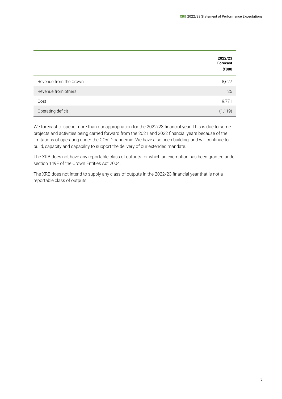|                        | 2022/23<br><b>Forecast</b><br>\$'000 |
|------------------------|--------------------------------------|
| Revenue from the Crown | 8,627                                |
| Revenue from others    | 25                                   |
| Cost                   | 9,771                                |
| Operating deficit      | (1, 119)                             |

We forecast to spend more than our appropriation for the 2022/23 financial year. This is due to some projects and activities being carried forward from the 2021 and 2022 financial years because of the limitations of operating under the COVID pandemic. We have also been building, and will continue to build, capacity and capability to support the delivery of our extended mandate.

The XRB does not have any reportable class of outputs for which an exemption has been granted under section 149F of the Crown Entities Act 2004.

The XRB does not intend to supply any class of outputs in the 2022/23 financial year that is not a reportable class of outputs.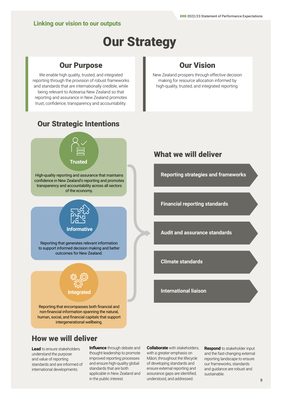#### <span id="page-7-0"></span>**Linking our vision to our outputs**

# Our Strategy

#### Our Purpose

We enable high quality, trusted, and integrated reporting through the provision of robust frameworks and standards that are internationally credible, while being relevant to Aotearoa New Zealand so that reporting and assurance in New Zealand promotes trust, confidence, transparency and accountability.

## Our Vision

New Zealand prospers through effective decision making for resource allocation informed by high-quality, trusted, and integrated reporting.



### What we will deliver

**Reporting strategies and frameworks**

**Financial reporting standards**

**Audit and assurance standards**

**Climate standards**

**International liaison**

How we will deliver

**Lead** to ensure stakeholders understand the purpose and value of reporting standards and are informed of international developments.

**Influence** through debate and thought-leadership to promote improved reporting processes and ensure high-quality global standards that are both applicable in New Zealand and in the public interest.

**Collaborate** with stakeholders, with a greater emphasis on Māori, throughout the lifecycle of developing standards and ensure external reporting and assurance gaps are identified, understood, and addressed.

**Respond** to stakeholder input and the fast-changing external reporting landscape to ensure our frameworks, standards and guidance are robust and sustainable.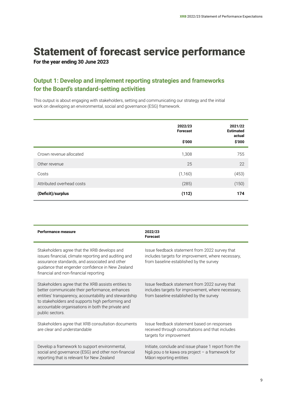# Statement of forecast service performance

**For the year ending 30 June 2023**

#### **Output 1: Develop and implement reporting strategies and frameworks for the Board's standard-setting activities**

This output is about engaging with stakeholders, setting and communicating our strategy and the initial work on developing an environmental, social and governance (ESG) framework.

|                           | 2022/23<br><b>Forecast</b><br>\$′000 | 2021/22<br><b>Estimated</b><br>actual<br>\$'000 |
|---------------------------|--------------------------------------|-------------------------------------------------|
| Crown revenue allocated   | 1,308                                | 755                                             |
| Other revenue             | 25                                   | 22                                              |
| Costs                     | (1,160)                              | (453)                                           |
| Attributed overhead costs | (285)                                | (150)                                           |
| (Deficit)/surplus         | (112)                                | 174                                             |

| Performance measure                                                                                                                                                                                                                                                                         | 2022/23<br><b>Forecast</b>                                                                                                                      |
|---------------------------------------------------------------------------------------------------------------------------------------------------------------------------------------------------------------------------------------------------------------------------------------------|-------------------------------------------------------------------------------------------------------------------------------------------------|
| Stakeholders agree that the XRB develops and<br>issues financial, climate reporting and auditing and<br>assurance standards, and associated and other<br>guidance that engender confidence in New Zealand<br>financial and non-financial reporting                                          | Issue feedback statement from 2022 survey that<br>includes targets for improvement, where necessary,<br>from baseline established by the survey |
| Stakeholders agree that the XRB assists entities to<br>better communicate their performance, enhances<br>entities' transparency, accountability and stewardship<br>to stakeholders and supports high performing and<br>accountable organisations in both the private and<br>public sectors. | Issue feedback statement from 2022 survey that<br>includes targets for improvement, where necessary,<br>from baseline established by the survey |
| Stakeholders agree that XRB consultation documents<br>are clear and understandable                                                                                                                                                                                                          | Issue feedback statement based on responses<br>received through consultations and that includes<br>targets for improvement                      |
| Develop a framework to support environmental,<br>social and governance (ESG) and other non-financial<br>reporting that is relevant for New Zealand                                                                                                                                          | Initiate, conclude and issue phase 1 report from the<br>Ngã pou o te kawa ora project - a framework for<br>Māori reporting entities             |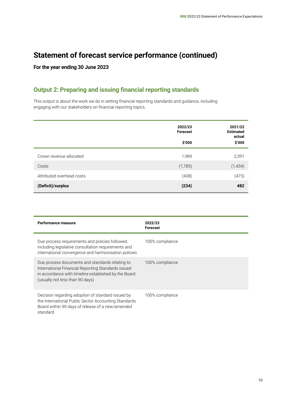# **Statement of forecast service performance (continued)**

**For the year ending 30 June 2023**

#### **Output 2: Preparing and issuing financial reporting standards**

This output is about the work we do in setting financial reporting standards and guidance, including engaging with our stakeholders on financial reporting topics.

|                           | 2022/23<br><b>Forecast</b><br>\$′000 | 2021/22<br><b>Estimated</b><br>actual<br>\$′000 |
|---------------------------|--------------------------------------|-------------------------------------------------|
| Crown revenue allocated   | 1,989                                | 2,391                                           |
| Costs                     | (1,785)                              | (1,434)                                         |
| Attributed overhead costs | (438)                                | (475)                                           |
| (Deficit)/surplus         | (234)                                | 482                                             |

| <b>Performance measure</b>                                                                                                                                                                       | 2022/23<br><b>Forecast</b> |
|--------------------------------------------------------------------------------------------------------------------------------------------------------------------------------------------------|----------------------------|
| Due process requirements and policies followed,<br>including legislative consultation requirements and<br>international convergence and harmonisation policies                                   | 100% compliance            |
| Due process documents and standards relating to<br>International Financial Reporting Standards issued<br>in accordance with timeline established by the Board<br>(usually not less than 90 days) | 100% compliance            |
| Decision regarding adoption of standard issued by<br>the International Public Sector Accounting Standards<br>Board within 90 days of release of a new/amended<br>standard                        | 100% compliance            |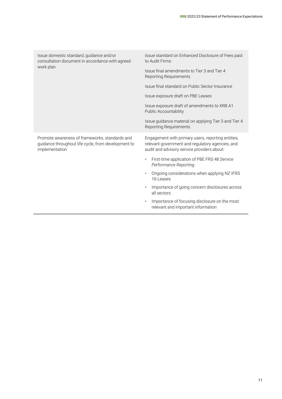| Issue domestic standard, guidance and/or<br>consultation document in accordance with agreed<br>work plan                | Issue standard on Enhanced Disclosure of Fees paid<br>to Audit Firms                                                                                  |  |
|-------------------------------------------------------------------------------------------------------------------------|-------------------------------------------------------------------------------------------------------------------------------------------------------|--|
|                                                                                                                         | Issue final amendments to Tier 3 and Tier 4<br><b>Reporting Requirements</b>                                                                          |  |
|                                                                                                                         | Issue final standard on Public Sector Insurance                                                                                                       |  |
|                                                                                                                         | Issue exposure draft on PBE Leases                                                                                                                    |  |
|                                                                                                                         | Issue exposure draft of amendments to XRB A1<br>Public Accountability                                                                                 |  |
|                                                                                                                         | Issue guidance material on applying Tier 3 and Tier 4<br><b>Reporting Requirements</b>                                                                |  |
| Promote awareness of frameworks, standards and<br>guidance throughout life cycle, from development to<br>implementation | Engagement with primary users, reporting entities,<br>relevant government and regulatory agencies, and<br>audit and advisory service providers about: |  |
|                                                                                                                         | First-time application of PBE FRS 48 Service<br>Performance Reporting                                                                                 |  |
|                                                                                                                         | Ongoing considerations when applying NZ IFRS<br>$\bullet$<br>16 Leases                                                                                |  |
|                                                                                                                         |                                                                                                                                                       |  |
|                                                                                                                         | Importance of going concern disclosures across<br>all sectors                                                                                         |  |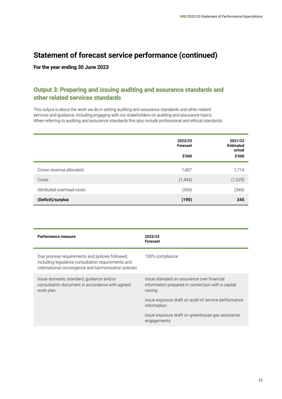# **Statement of forecast service performance (continued)**

**For the year ending 30 June 2023**

#### **Output 3: Preparing and issuing auditing and assurance standards and other related services standards**

This output is about the work we do in setting auditing and assurance standards and other related services and guidance, including engaging with our stakeholders on auditing and assurance topics. When referring to auditing and assurance standards this also include professional and ethical standards.

|                           | 2022/23<br><b>Forecast</b><br>\$′000 | 2021/22<br><b>Estimated</b><br>actual<br>\$'000 |
|---------------------------|--------------------------------------|-------------------------------------------------|
| Crown revenue allocated   | 1,607                                | 1,714                                           |
| Costs                     | (1, 443)                             | (1,029)                                         |
| Attributed overhead costs | (354)                                | (340)                                           |
| (Deficit)/surplus         | (190)                                | 345                                             |

| Performance measure                                                                                                                                            | 2022/23<br><b>Forecast</b>                                                                                 |
|----------------------------------------------------------------------------------------------------------------------------------------------------------------|------------------------------------------------------------------------------------------------------------|
| Due process requirements and policies followed,<br>including legislative consultation requirements and<br>international convergence and harmonisation policies | 100% compliance                                                                                            |
| Issue domestic standard, guidance and/or<br>consultation document in accordance with agreed<br>work plan                                                       | Issue standard on assurance over financial<br>information prepared in connection with a capital<br>raising |
|                                                                                                                                                                | Issue exposure draft on audit of service performance<br>information                                        |
|                                                                                                                                                                | Issue exposure draft on greenhouse gas assurance<br>engagements                                            |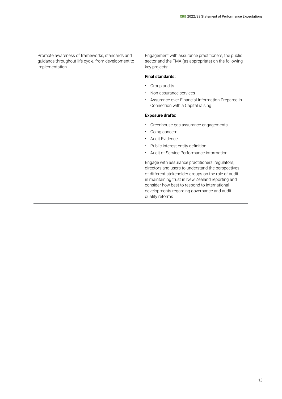Promote awareness of frameworks, standards and guidance throughout life cycle, from development to implementation

Engagement with assurance practitioners, the public sector and the FMA (as appropriate) on the following key projects:

#### **Final standards:**

- Group audits
- Non-assurance services
- Assurance over Financial Information Prepared in Connection with a Capital raising

#### **Exposure drafts:**

- Greenhouse gas assurance engagements
- Going concern
- Audit Evidence
- Public interest entity definition
- Audit of Service Performance information

Engage with assurance practitioners, regulators, directors and users to understand the perspectives of different stakeholder groups on the role of audit in maintaining trust in New Zealand reporting and consider how best to respond to international developments regarding governance and audit quality reforms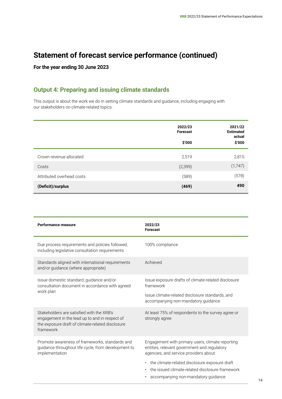# **Statement of forecast service performance (continued)**

**For the year ending 30 June 2023**

#### **Output 4: Preparing and issuing climate standards**

This output is about the work we do in setting climate standards and guidance, including engaging with our stakeholders on climate-related topics.

|                           | 2022/23<br><b>Forecast</b><br>\$'000 | 2021/22<br><b>Estimated</b><br>actual<br>\$′000 |
|---------------------------|--------------------------------------|-------------------------------------------------|
| Crown revenue allocated   | 2,519                                | 2,815                                           |
| Costs                     | (2,399)                              | (1,747)                                         |
| Attributed overhead costs | (589)                                | (578)                                           |
| (Deficit)/surplus         | (469)                                | 490                                             |

| Performance measure                                                                                                                                          | 2022/23<br><b>Forecast</b>                                                                                                                                  |
|--------------------------------------------------------------------------------------------------------------------------------------------------------------|-------------------------------------------------------------------------------------------------------------------------------------------------------------|
| Due process requirements and policies followed,<br>including legislative consultation requirements                                                           | 100% compliance                                                                                                                                             |
| Standards aligned with international requirements<br>and/or guidance (where appropriate)                                                                     | Achieved                                                                                                                                                    |
| Issue domestic standard, guidance and/or<br>consultation document in accordance with agreed                                                                  | Issue exposure drafts of climate-related disclosure<br>framework                                                                                            |
| work plan                                                                                                                                                    | Issue climate-related disclosure standards, and<br>accompanying non-mandatory guidance                                                                      |
| Stakeholders are satisfied with the XRB's<br>engagement in the lead up to and in respect of<br>the exposure draft of climate-related disclosure<br>framework | At least 75% of respondents to the survey agree or<br>strongly agree                                                                                        |
| Promote awareness of frameworks, standards and<br>guidance throughout life cycle, from development to<br>implementation                                      | Engagement with primary users, climate reporting<br>entities, relevant government and regulatory<br>agencies, and service providers about:                  |
|                                                                                                                                                              | • the climate-related disclosure exposure draft<br>the issued climate-related disclosure framework<br>$\bullet$<br>accompanying non-mandatory guidance<br>٠ |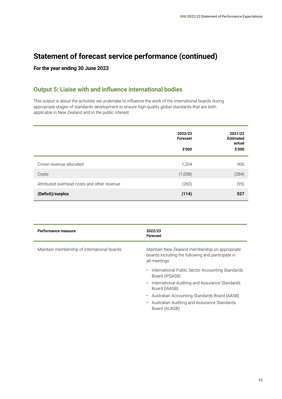# **Statement of forecast service performance (continued)**

**For the year ending 30 June 2023**

## **Output 5: Liaise with and influence international bodies**

This output is about the activities we undertake to influence the work of the international boards during appropriate stages of standards development to ensure high-quality global standards that are both applicable in New Zealand and in the public interest.

|                                             | 2022/23<br><b>Forecast</b><br>\$'000 | 2021/22<br><b>Estimated</b><br>actual<br>\$′000 |
|---------------------------------------------|--------------------------------------|-------------------------------------------------|
| Crown revenue allocated                     | 1,204                                | 906                                             |
| Costs                                       | (1,058)                              | (284)                                           |
| Attributed overhead costs and other revenue | (260)                                | (95)                                            |
| (Deficit)/surplus                           | (114)                                | 527                                             |

| Performance measure                         | 2022/23<br><b>Forecast</b>                                                                                           |
|---------------------------------------------|----------------------------------------------------------------------------------------------------------------------|
| Maintain membership of international boards | Maintain New Zealand membership on appropriate<br>boards including the following and participate in<br>all meetings: |
|                                             | International Public Sector Accounting Standards<br>$\bullet$<br>Board (IPSASB)                                      |
|                                             | International Auditing and Assurance Standards<br>Board (IAASB)                                                      |
|                                             | Australian Accounting Standards Board (AASB)<br>$\bullet$                                                            |
|                                             | Australian Auditing and Assurance Standards<br>Board (AUASB)                                                         |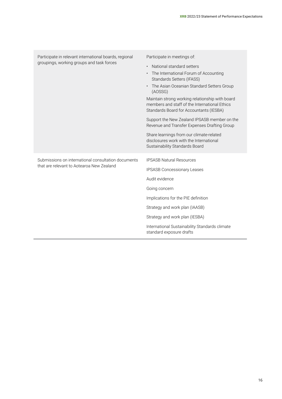| Participate in relevant international boards, regional<br>groupings, working groups and task forces | Participate in meetings of:                                                                                                                 |  |
|-----------------------------------------------------------------------------------------------------|---------------------------------------------------------------------------------------------------------------------------------------------|--|
|                                                                                                     | National standard setters                                                                                                                   |  |
|                                                                                                     | The International Forum of Accounting<br>Standards Setters (IFASS)                                                                          |  |
|                                                                                                     | The Asian Oceanian Standard Setters Group<br>(AOSSG)                                                                                        |  |
|                                                                                                     | Maintain strong working relationship with board<br>members and staff of the International Ethics<br>Standards Board for Accountants (IESBA) |  |
|                                                                                                     | Support the New Zealand IPSASB member on the<br>Revenue and Transfer Expenses Drafting Group                                                |  |
|                                                                                                     | Share learnings from our climate-related<br>disclosures work with the International<br>Sustainability Standards Board                       |  |
| Submissions on international consultation documents                                                 | <b>IPSASB Natural Resources</b>                                                                                                             |  |
| that are relevant to Aotearoa New Zealand                                                           | <b>IPSASB Concessionary Leases</b>                                                                                                          |  |
|                                                                                                     | Audit evidence                                                                                                                              |  |
|                                                                                                     | Going concern                                                                                                                               |  |
|                                                                                                     | Implications for the PIE definition                                                                                                         |  |
|                                                                                                     | Strategy and work plan (IAASB)                                                                                                              |  |
|                                                                                                     | Strategy and work plan (IESBA)                                                                                                              |  |
|                                                                                                     | International Sustainability Standards climate<br>standard exposure drafts                                                                  |  |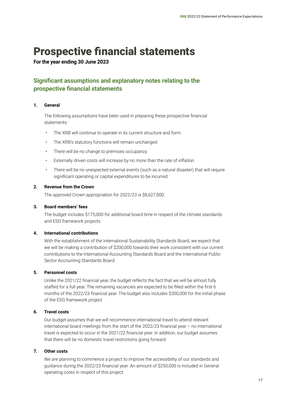# <span id="page-16-0"></span>Prospective financial statements

#### **For the year ending 30 June 2023**

### **Significant assumptions and explanatory notes relating to the prospective financial statements**

#### **1. General**

The following assumptions have been used in preparing these prospective financial statements:

- The XRB will continue to operate in its current structure and form.
- The XRB's statutory functions will remain unchanged.
- There will be no change to premises occupancy.
- Externally driven costs will increase by no more than the rate of inflation
- There will be no unexpected external events (such as a natural disaster) that will require significant operating or capital expenditures to be incurred.

#### **2. Revenue from the Crown**

The approved Crown appropriation for 2022/23 is \$8,627,000.

#### **3. Board members' fees**

The budget includes \$175,000 for additional board time in respect of the climate standards and ESG framework projects.

#### **4. International contributions**

With the establishment of the International Sustainability Standards Board, we expect that we will be making a contribution of \$200,000 towards their work consistent with our current contributions to the International Accounting Standards Board and the International Public Sector Accounting Standards Board.

#### **5. Personnel costs**

Unlike the 2021/22 financial year, the budget reflects the fact that we will be almost fully staffed for a full year. The remaining vacancies are expected to be filled within the first 6 months of the 2022/23 financial year. The budget also includes \$300,000 for the initial phase of the ESG framework project.

#### **6. Travel costs**

Our budget assumes that we will recommence international travel to attend relevant international board meetings from the start of the 2022/23 financial year – no international travel is expected to occur in the 2021/22 financial year. In addition, our budget assumes that there will be no domestic travel restrictions going forward.

#### **7. Other costs**

We are planning to commence a project to improve the accessibility of our standards and guidance during the 2022/23 financial year. An amount of \$250,000 is included in General operating costs in respect of this project.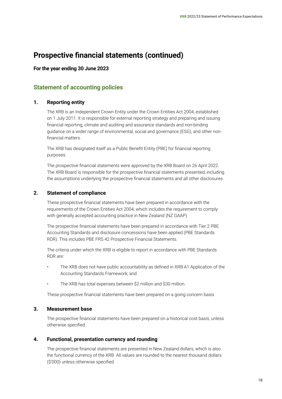#### **For the year ending 30 June 2023**

#### **Statement of accounting policies**

#### **1. Reporting entity**

The XRB is an Independent Crown Entity under the Crown Entities Act 2004, established on 1 July 2011. It is responsible for external reporting strategy and preparing and issuing financial reporting, climate and auditing and assurance standards and non-binding guidance on a wider range of environmental, social and governance (ESG), and other nonfinancial matters.

The XRB has designated itself as a Public Benefit Entity (PBE) for financial reporting purposes.

The prospective financial statements were approved by the XRB Board on 26 April 2022. The XRB Board is responsible for the prospective financial statements presented, including the assumptions underlying the prospective financial statements and all other disclosures.

#### **2. Statement of compliance**

These prospective financial statements have been prepared in accordance with the requirements of the Crown Entities Act 2004, which includes the requirement to comply with generally accepted accounting practice in New Zealand (NZ GAAP).

The prospective financial statements have been prepared in accordance with Tier 2 PBE Accounting Standards and disclosure concessions have been applied (PBE Standards RDR). This includes PBE FRS 42 Prospective Financial Statements.

The criteria under which the XRB is eligible to report in accordance with PBE Standards RDR are:

- The XRB does not have public accountability as defined in XRB A1 Application of the Accounting Standards Framework; and
- The XRB has total expenses between \$2 million and \$30 million.

These prospective financial statements have been prepared on a going concern basis.

#### **3. Measurement base**

The prospective financial statements have been prepared on a historical cost basis, unless otherwise specified.

#### **4. Functional, presentation currency and rounding**

The prospective financial statements are presented in New Zealand dollars, which is also the functional currency of the XRB. All values are rounded to the nearest thousand dollars (\$'000) unless otherwise specified.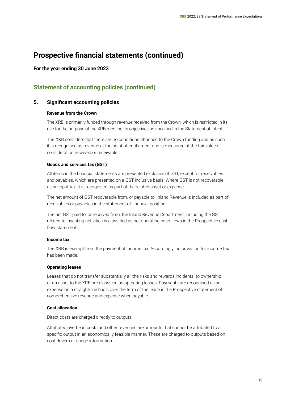#### **For the year ending 30 June 2023**

#### **Statement of accounting policies (continued)**

#### **5. Significant accounting policies**

#### **Revenue from the Crown**

The XRB is primarily funded through revenue received from the Crown, which is restricted in its use for the purpose of the XRB meeting its objectives as specified in the Statement of Intent.

The XRB considers that there are no conditions attached to the Crown funding and as such it is recognised as revenue at the point of entitlement and is measured at the fair value of consideration received or receivable.

#### **Goods and services tax (GST)**

All items in the financial statements are presented exclusive of GST, except for receivables and payables, which are presented on a GST inclusive basis. Where GST is not recoverable as an input tax, it is recognised as part of the related asset or expense.

The net amount of GST recoverable from, or payable to, Inland Revenue is included as part of receivables or payables in the statement of financial position.

The net GST paid to, or received from, the Inland Revenue Department, including the GST related to investing activities is classified as net operating cash flows in the Prospective cash flow statement.

#### **Income tax**

The XRB is exempt from the payment of income tax. Accordingly, no provision for income tax has been made.

#### **Operating leases**

Leases that do not transfer substantially all the risks and rewards incidental to ownership of an asset to the XRB are classified as operating leases. Payments are recognised as an expense on a straight-line basis over the term of the lease in the Prospective statement of comprehensive revenue and expense when payable.

#### **Cost allocation**

Direct costs are charged directly to outputs.

Attributed overhead costs and other revenues are amounts that cannot be attributed to a specific output in an economically feasible manner. These are charged to outputs based on cost drivers or usage information.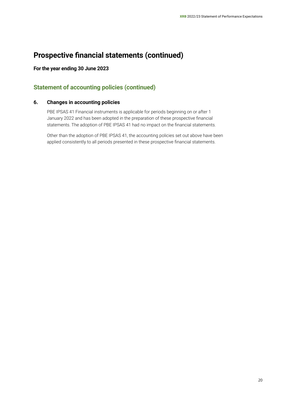#### **For the year ending 30 June 2023**

### **Statement of accounting policies (continued)**

#### **6. Changes in accounting policies**

PBE IPSAS 41 Financial instruments is applicable for periods beginning on or after 1 January 2022 and has been adopted in the preparation of these prospective financial statements. The adoption of PBE IPSAS 41 had no impact on the financial statements.

Other than the adoption of PBE IPSAS 41, the accounting policies set out above have been applied consistently to all periods presented in these prospective financial statements.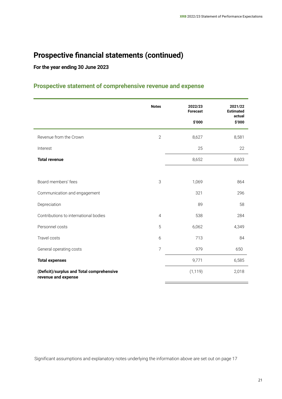**For the year ending 30 June 2023**

#### **Prospective statement of comprehensive revenue and expense**

|                                                                  | <b>Notes</b>   | 2022/23<br><b>Forecast</b><br>\$'000 | 2021/22<br><b>Estimated</b><br>actual<br>\$'000 |
|------------------------------------------------------------------|----------------|--------------------------------------|-------------------------------------------------|
| Revenue from the Crown                                           | $\mathbf{2}$   | 8,627                                | 8,581                                           |
| Interest                                                         |                | 25                                   | 22                                              |
| <b>Total revenue</b>                                             |                | 8,652                                | 8,603                                           |
|                                                                  |                |                                      |                                                 |
| Board members' fees                                              | 3              | 1,069                                | 864                                             |
| Communication and engagement                                     |                | 321                                  | 296                                             |
| Depreciation                                                     |                | 89                                   | 58                                              |
| Contributions to international bodies                            | $\overline{4}$ | 538                                  | 284                                             |
| Personnel costs                                                  | 5              | 6,062                                | 4,349                                           |
| Travel costs                                                     | 6              | 713                                  | 84                                              |
| General operating costs                                          | $\overline{7}$ | 979                                  | 650                                             |
| <b>Total expenses</b>                                            |                | 9,771                                | 6,585                                           |
| (Deficit)/surplus and Total comprehensive<br>revenue and expense |                | (1, 119)                             | 2,018                                           |

Significant assumptions and explanatory notes underlying the information above are set out on page 17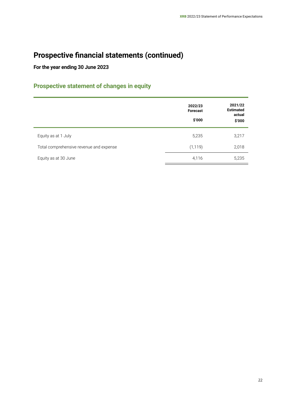### **For the year ending 30 June 2023**

# **Prospective statement of changes in equity**

|                                         | 2022/23<br><b>Forecast</b><br>\$'000 | 2021/22<br><b>Estimated</b><br>actual<br>\$'000 |
|-----------------------------------------|--------------------------------------|-------------------------------------------------|
| Equity as at 1 July                     | 5,235                                | 3,217                                           |
| Total comprehensive revenue and expense | (1, 119)                             | 2,018                                           |
| Equity as at 30 June                    | 4,116                                | 5,235                                           |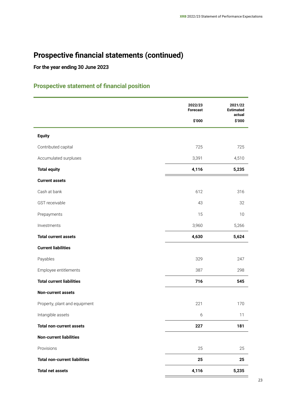#### **For the year ending 30 June 2023**

## **Prospective statement of financial position**

|                                      | 2022/23<br><b>Forecast</b> | 2021/22<br><b>Estimated</b><br>actual |
|--------------------------------------|----------------------------|---------------------------------------|
|                                      | \$'000                     | \$'000                                |
| <b>Equity</b>                        |                            |                                       |
| Contributed capital                  | 725                        | 725                                   |
| Accumulated surpluses                | 3,391                      | 4,510                                 |
| <b>Total equity</b>                  | 4,116                      | 5,235                                 |
| <b>Current assets</b>                |                            |                                       |
| Cash at bank                         | 612                        | 316                                   |
| GST receivable                       | 43                         | 32                                    |
| Prepayments                          | 15                         | 10                                    |
| Investments                          | 3,960                      | 5,266                                 |
| <b>Total current assets</b>          | 4,630                      | 5,624                                 |
| <b>Current liabilities</b>           |                            |                                       |
| Payables                             | 329                        | 247                                   |
| Employee entitlements                | 387                        | 298                                   |
| <b>Total current liabilities</b>     | 716                        | 545                                   |
| Non-current assets                   |                            |                                       |
| Property, plant and equipment        | 221                        | 170                                   |
| Intangible assets                    | $\boldsymbol{6}$           | 11                                    |
| <b>Total non-current assets</b>      | 227                        | 181                                   |
| <b>Non-current liabilities</b>       |                            |                                       |
| Provisions                           | 25                         | 25                                    |
| <b>Total non-current liabilities</b> | 25                         | 25                                    |
| <b>Total net assets</b>              | 4,116                      | 5,235                                 |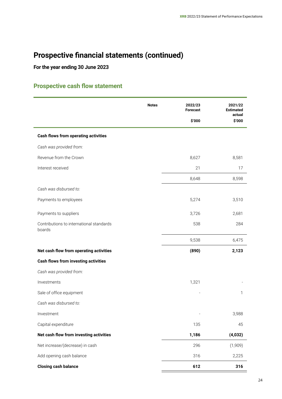**For the year ending 30 June 2023**

#### **Prospective cash flow statement**

|                                                    | <b>Notes</b> | 2022/23<br><b>Forecast</b><br>\$'000 | 2021/22<br><b>Estimated</b><br>actual<br>\$'000 |
|----------------------------------------------------|--------------|--------------------------------------|-------------------------------------------------|
| <b>Cash flows from operating activities</b>        |              |                                      |                                                 |
| Cash was provided from:                            |              |                                      |                                                 |
| Revenue from the Crown                             |              | 8,627                                | 8,581                                           |
| Interest received                                  |              | 21                                   | 17                                              |
|                                                    |              | 8,648                                | 8,598                                           |
| Cash was disbursed to:                             |              |                                      |                                                 |
| Payments to employees                              |              | 5,274                                | 3,510                                           |
| Payments to suppliers                              |              | 3,726                                | 2,681                                           |
| Contributions to international standards<br>boards |              | 538                                  | 284                                             |
|                                                    |              | 9,538                                | 6,475                                           |
| Net cash flow from operating activities            |              | (890)                                | 2,123                                           |
| <b>Cash flows from investing activities</b>        |              |                                      |                                                 |
| Cash was provided from:                            |              |                                      |                                                 |
| Investments                                        |              | 1,321                                |                                                 |
| Sale of office equipment                           |              |                                      | 1                                               |
| Cash was disbursed to:                             |              |                                      |                                                 |
| Investment                                         |              |                                      | 3,988                                           |
| Capital expenditure                                |              | 135                                  | 45                                              |
| Net cash flow from investing activities            |              | 1,186                                | (4,032)                                         |
| Net increase/(decrease) in cash                    |              | 296                                  | (1,909)                                         |
| Add opening cash balance                           |              | 316                                  | 2,225                                           |
| <b>Closing cash balance</b>                        |              | 612                                  | 316                                             |